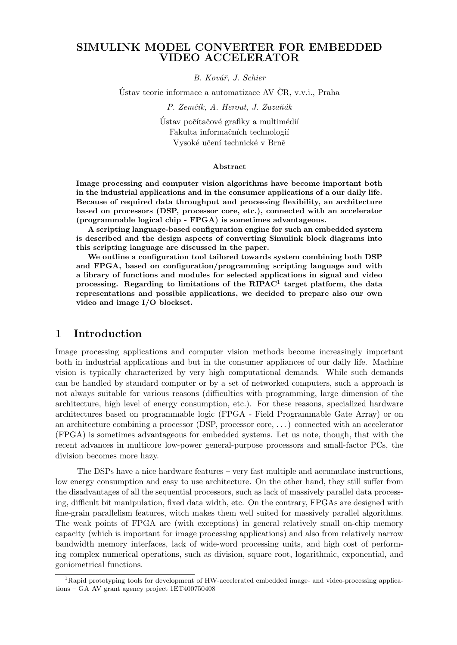### SIMULINK MODEL CONVERTER FOR EMBEDDED VIDEO ACCELERATOR

B. Kovář, J. Schier

Ustav teorie informace a automatizace AV  $CR$ , v.v.i., Praha

P. Zemčík, A. Herout, J. Zuzaňák

Ústav počítačové grafiky a multimédií Fakulta informačních technologií Vysoké učení technické v Brně

#### Abstract

Image processing and computer vision algorithms have become important both in the industrial applications and in the consumer applications of a our daily life. Because of required data throughput and processing flexibility, an architecture based on processors (DSP, processor core, etc.), connected with an accelerator (programmable logical chip - FPGA) is sometimes advantageous.

A scripting language-based configuration engine for such an embedded system is described and the design aspects of converting Simulink block diagrams into this scripting language are discussed in the paper.

We outline a configuration tool tailored towards system combining both DSP and FPGA, based on configuration/programming scripting language and with a library of functions and modules for selected applications in signal and video processing. Regarding to limitations of the  $RIPAC<sup>1</sup>$  target platform, the data representations and possible applications, we decided to prepare also our own video and image I/O blockset.

#### 1 Introduction

Image processing applications and computer vision methods become increasingly important both in industrial applications and but in the consumer appliances of our daily life. Machine vision is typically characterized by very high computational demands. While such demands can be handled by standard computer or by a set of networked computers, such a approach is not always suitable for various reasons (difficulties with programming, large dimension of the architecture, high level of energy consumption, etc.). For these reasons, specialized hardware architectures based on programmable logic (FPGA - Field Programmable Gate Array) or on an architecture combining a processor (DSP, processor core, . . . ) connected with an accelerator (FPGA) is sometimes advantageous for embedded systems. Let us note, though, that with the recent advances in multicore low-power general-purpose processors and small-factor PCs, the division becomes more hazy.

The DSPs have a nice hardware features – very fast multiple and accumulate instructions, low energy consumption and easy to use architecture. On the other hand, they still suffer from the disadvantages of all the sequential processors, such as lack of massively parallel data processing, difficult bit manipulation, fixed data width, etc. On the contrary, FPGAs are designed with fine-grain parallelism features, witch makes them well suited for massively parallel algorithms. The weak points of FPGA are (with exceptions) in general relatively small on-chip memory capacity (which is important for image processing applications) and also from relatively narrow bandwidth memory interfaces, lack of wide-word processing units, and high cost of performing complex numerical operations, such as division, square root, logarithmic, exponential, and goniometrical functions.

<sup>&</sup>lt;sup>1</sup>Rapid prototyping tools for development of HW-accelerated embedded image- and video-processing applications – GA AV grant agency project 1ET400750408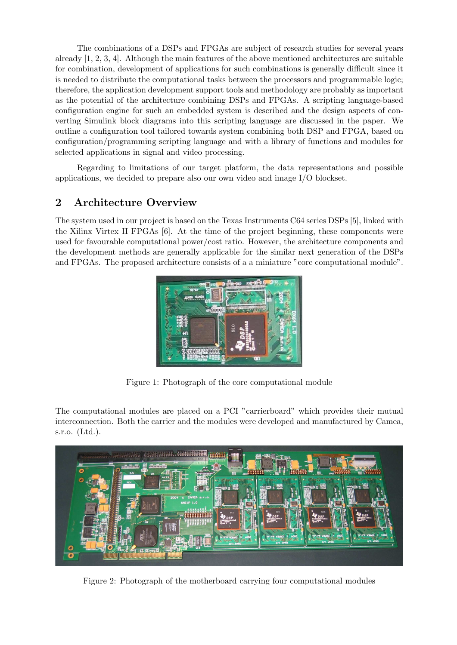The combinations of a DSPs and FPGAs are subject of research studies for several years already [1, 2, 3, 4]. Although the main features of the above mentioned architectures are suitable for combination, development of applications for such combinations is generally difficult since it is needed to distribute the computational tasks between the processors and programmable logic; therefore, the application development support tools and methodology are probably as important as the potential of the architecture combining DSPs and FPGAs. A scripting language-based configuration engine for such an embedded system is described and the design aspects of converting Simulink block diagrams into this scripting language are discussed in the paper. We outline a configuration tool tailored towards system combining both DSP and FPGA, based on configuration/programming scripting language and with a library of functions and modules for selected applications in signal and video processing.

Regarding to limitations of our target platform, the data representations and possible applications, we decided to prepare also our own video and image I/O blockset.

# 2 Architecture Overview

The system used in our project is based on the Texas Instruments C64 series DSPs [5], linked with the Xilinx Virtex II FPGAs [6]. At the time of the project beginning, these components were used for favourable computational power/cost ratio. However, the architecture components and the development methods are generally applicable for the similar next generation of the DSPs and FPGAs. The proposed architecture consists of a a miniature "core computational module".



Figure 1: Photograph of the core computational module

The computational modules are placed on a PCI "carrierboard" which provides their mutual interconnection. Both the carrier and the modules were developed and manufactured by Camea, s.r.o. (Ltd.).



Figure 2: Photograph of the motherboard carrying four computational modules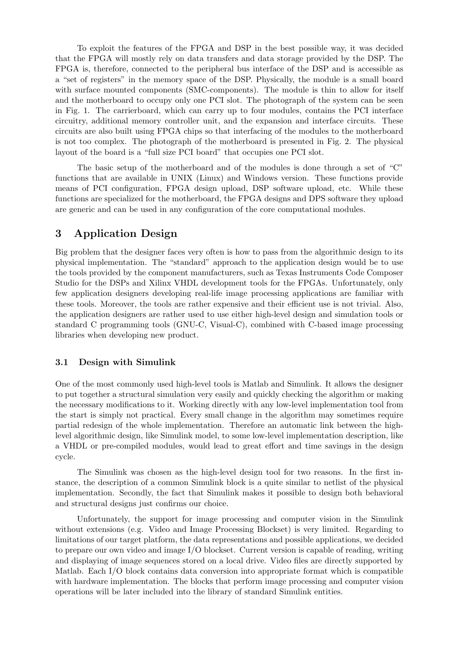To exploit the features of the FPGA and DSP in the best possible way, it was decided that the FPGA will mostly rely on data transfers and data storage provided by the DSP. The FPGA is, therefore, connected to the peripheral bus interface of the DSP and is accessible as a "set of registers" in the memory space of the DSP. Physically, the module is a small board with surface mounted components (SMC-components). The module is thin to allow for itself and the motherboard to occupy only one PCI slot. The photograph of the system can be seen in Fig. 1. The carrierboard, which can carry up to four modules, contains the PCI interface circuitry, additional memory controller unit, and the expansion and interface circuits. These circuits are also built using FPGA chips so that interfacing of the modules to the motherboard is not too complex. The photograph of the motherboard is presented in Fig. 2. The physical layout of the board is a "full size PCI board" that occupies one PCI slot.

The basic setup of the motherboard and of the modules is done through a set of "C" functions that are available in UNIX (Linux) and Windows version. These functions provide means of PCI configuration, FPGA design upload, DSP software upload, etc. While these functions are specialized for the motherboard, the FPGA designs and DPS software they upload are generic and can be used in any configuration of the core computational modules.

# 3 Application Design

Big problem that the designer faces very often is how to pass from the algorithmic design to its physical implementation. The "standard" approach to the application design would be to use the tools provided by the component manufacturers, such as Texas Instruments Code Composer Studio for the DSPs and Xilinx VHDL development tools for the FPGAs. Unfortunately, only few application designers developing real-life image processing applications are familiar with these tools. Moreover, the tools are rather expensive and their efficient use is not trivial. Also, the application designers are rather used to use either high-level design and simulation tools or standard C programming tools (GNU-C, Visual-C), combined with C-based image processing libraries when developing new product.

#### 3.1 Design with Simulink

One of the most commonly used high-level tools is Matlab and Simulink. It allows the designer to put together a structural simulation very easily and quickly checking the algorithm or making the necessary modifications to it. Working directly with any low-level implementation tool from the start is simply not practical. Every small change in the algorithm may sometimes require partial redesign of the whole implementation. Therefore an automatic link between the highlevel algorithmic design, like Simulink model, to some low-level implementation description, like a VHDL or pre-compiled modules, would lead to great effort and time savings in the design cycle.

The Simulink was chosen as the high-level design tool for two reasons. In the first instance, the description of a common Simulink block is a quite similar to netlist of the physical implementation. Secondly, the fact that Simulink makes it possible to design both behavioral and structural designs just confirms our choice.

Unfortunately, the support for image processing and computer vision in the Simulink without extensions (e.g. Video and Image Processing Blockset) is very limited. Regarding to limitations of our target platform, the data representations and possible applications, we decided to prepare our own video and image I/O blockset. Current version is capable of reading, writing and displaying of image sequences stored on a local drive. Video files are directly supported by Matlab. Each I/O block contains data conversion into appropriate format which is compatible with hardware implementation. The blocks that perform image processing and computer vision operations will be later included into the library of standard Simulink entities.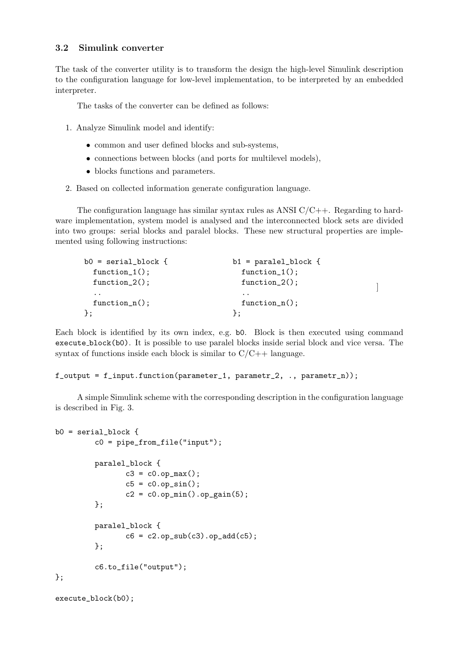#### 3.2 Simulink converter

The task of the converter utility is to transform the design the high-level Simulink description to the configuration language for low-level implementation, to be interpreted by an embedded interpreter.

The tasks of the converter can be defined as follows:

- 1. Analyze Simulink model and identify:
	- common and user defined blocks and sub-systems,
	- connections between blocks (and ports for multilevel models),
	- blocks functions and parameters.
- 2. Based on collected information generate configuration language.

The configuration language has similar syntax rules as ANSI  $C/C++$ . Regarding to hardware implementation, system model is analysed and the interconnected block sets are divided into two groups: serial blocks and paralel blocks. These new structural properties are implemented using following instructions:

| $b0 = serial\_block$ { | $b1 = \text{parallel\_block}$ { |  |
|------------------------|---------------------------------|--|
| $function_1()$ ;       | $function_1()$ ;                |  |
| $function_2()$ ;       | $function_2()$ ;                |  |
| $\cdot$ $\cdot$        | $\cdot$ $\cdot$                 |  |
| $function_n()$ ;       | $function_n()$ ;                |  |
| $\cdot$                |                                 |  |

Each block is identified by its own index, e.g. b0. Block is then executed using command execute block(b0). It is possible to use paralel blocks inside serial block and vice versa. The syntax of functions inside each block is similar to  $C/C++$  language.

#### $f_$ output =  $f_$ input.function(parameter\_1, parametr\_2, ., parametr\_n));

A simple Simulink scheme with the corresponding description in the configuration language is described in Fig. 3.

```
b0 = \text{serial block} {
         c0 = pipe_from_file("input");
         paralel_block {
                 c3 = c0.op_max();
                 c5 = c0.op_sin();
                 c2 = c0.op_min().op_gain(5);
         };
         paralel_block {
                 c6 = c2.op_sub(c3).op_add(c5);
         };
         c6.to_file("output");
};
```

```
execute_block(b0);
```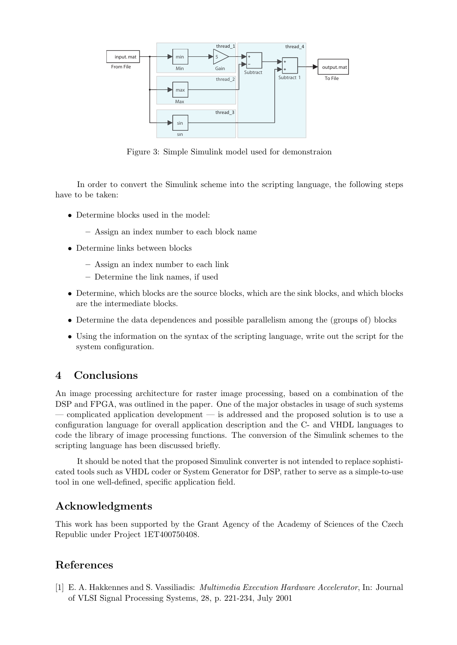

Figure 3: Simple Simulink model used for demonstraion

In order to convert the Simulink scheme into the scripting language, the following steps have to be taken:

- Determine blocks used in the model:
	- Assign an index number to each block name
- Determine links between blocks
	- Assign an index number to each link
	- Determine the link names, if used
- Determine, which blocks are the source blocks, which are the sink blocks, and which blocks are the intermediate blocks.
- Determine the data dependences and possible parallelism among the (groups of) blocks
- Using the information on the syntax of the scripting language, write out the script for the system configuration.

# 4 Conclusions

An image processing architecture for raster image processing, based on a combination of the DSP and FPGA, was outlined in the paper. One of the major obstacles in usage of such systems — complicated application development — is addressed and the proposed solution is to use a configuration language for overall application description and the C- and VHDL languages to code the library of image processing functions. The conversion of the Simulink schemes to the scripting language has been discussed briefly.

It should be noted that the proposed Simulink converter is not intended to replace sophisticated tools such as VHDL coder or System Generator for DSP, rather to serve as a simple-to-use tool in one well-defined, specific application field.

# Acknowledgments

This work has been supported by the Grant Agency of the Academy of Sciences of the Czech Republic under Project 1ET400750408.

### References

[1] E. A. Hakkennes and S. Vassiliadis: Multimedia Execution Hardware Accelerator, In: Journal of VLSI Signal Processing Systems, 28, p. 221-234, July 2001